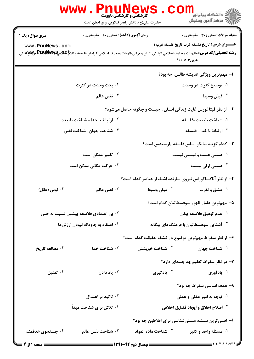|                                   | WWW . PI<br><b>گارشناسی و کارشناسی ناپیوسته</b><br>حضرت علی(ع): دانش راهبر نیکویی برای ایمان است | ڪ دانشڪاه پيا <sub>م</sub> نور<br><mark>√</mark> مرڪز آزمون وسنڊش                                                                                     |
|-----------------------------------|--------------------------------------------------------------------------------------------------|-------------------------------------------------------------------------------------------------------------------------------------------------------|
| <b>سری سوال :</b> یک ۱            | <b>زمان آزمون (دقیقه) : تستی : 60 ٪ تشریحی : 0</b>                                               | <b>تعداد سوالات : تستی : 30 ٪ تشریحی : 0</b>                                                                                                          |
| www.PnuNews.com                   |                                                                                                  | <b>عنـــوان درس:</b> تاریخ فلسفه غرب،تاریخ فلسفه غرب ۱                                                                                                |
|                                   |                                                                                                  | رشته تحصیلی/کد درس: -الهیات ومعارف اسلامی گرایش ادیان وعرفان،الهیات ومعارف اسلامی گرایش فلسفه وکلا <b>تا PDI¥NGR</b> ay وPTI¥NGR&گینی<br>عربی ۱۲۲۰۵۰۶ |
|                                   |                                                                                                  | ا– مهم ترين ويژگي انديشه طالس، چه بود؟                                                                                                                |
|                                   | <sup>۲</sup> ۰ بحث وحدت در کثرت                                                                  | ۰۱ توضیح کثرت در وحدت                                                                                                                                 |
|                                   | ۰۴ نفس عالم                                                                                      | ۰۳ قبض وسبط                                                                                                                                           |
|                                   |                                                                                                  | ۲- از نظر فیثاغورس غایت زندگی انسان ، چیست و چگونه حاصل میشود؟                                                                                        |
|                                   | ۰ <sup>۲</sup> ارتباط با خدا- شناخت طبیعت                                                        | ١. شناخت طبيعت–فلسفه                                                                                                                                  |
|                                   | ۰ <sup>۴</sup> شناخت جهان-شناخت نفس                                                              | ۰ <sup>۳</sup> ارتباط با خدا- فلسفه                                                                                                                   |
|                                   |                                                                                                  | ۳- کدام گزینه بیانگر اساس فلسفه پارمنیدس است؟                                                                                                         |
|                                   | ۰ <sup>۲</sup> تغییر ممکن است                                                                    | ۰۱ هستی هست و نیستی نیست                                                                                                                              |
|                                   | ۰۴ حرکت مکانی ممکن است                                                                           | هستی ازلی نیست $\cdot^{\mathtt{w}}$                                                                                                                   |
|                                   |                                                                                                  | ۴- از نظر آناکساگوراس نیروی سازنده اشیاء از عناصر کدام است؟                                                                                           |
| ۰۴ نوس (عقل)                      | نفس عالم $\cdot$ "                                                                               | ۰ <sup>۲</sup> قبض وسبط<br>۰۱ عشق و نفرت                                                                                                              |
|                                   |                                                                                                  | ۵– مهم ترين عامل ظهور سوفسطائيان كدام است؟                                                                                                            |
|                                   | <sup>۰۲</sup> بی اعتمادی فلاسفه پیشین نسبت به حس                                                 | ۰۱ عدم توقيق فلاسفه يونان                                                                                                                             |
| ۰۴ اعتقاد به جاودانه نبودن ارزشها |                                                                                                  | <sup>۳.</sup> آشنایی سوفسطائیان با فرهنگهای بیگانه                                                                                                    |
|                                   |                                                                                                  | ۶– از نظر سقراط مهم ترین موضوع در کشف حقیقت کدام است؟                                                                                                 |
| ۰۴ مطالعه تاریخ                   | ۰۳ شناخت خدا                                                                                     | ۰ <sup>۲</sup> شناخت خویشتن<br>۰۱ شناخت جهان                                                                                                          |
|                                   |                                                                                                  | ۷– در نظر سقراط تعلیم چه جنبهای دارد؟                                                                                                                 |
| تمثيل $\cdot$ *                   | ا ياد دادن $\cdot$                                                                               | <sup>۲</sup> . يادگيري<br>۰۱ یادآوری                                                                                                                  |
|                                   |                                                                                                  | ۸– هدف اساسی سقراط چه بود؟                                                                                                                            |
|                                   | ۰ <sup>۲</sup> تاکید بر اعتدال                                                                   | ۰۱ توجه به امور عقلی و عملی                                                                                                                           |
|                                   | ۰۴ تلاش برای شناخت مبدأ                                                                          | <b>4 . اصلاح اخلاق و ایجاد فضایل اخلاقی</b>                                                                                                           |
|                                   |                                                                                                  | ۹– اصلی ترین مسئله هستیشناسی برای افلاطون چه بود؟                                                                                                     |
| ۰۴ جستجوی هدفمند                  | شناخت نفس عالم $\cdot$ "                                                                         | <sup>7</sup> · شناخت ماده المواد<br>۰۱ مسئله واحد و کثیر                                                                                              |
| <b>: صفحه ۱ از 4 =</b>            | <b>== نیمسال دوم ۹۲-۱۳۹۱ <del>====</del></b>                                                     |                                                                                                                                                       |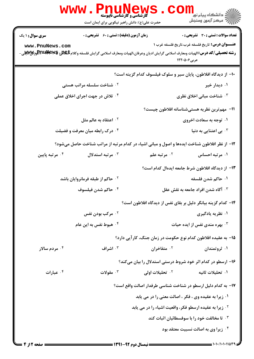|                            | <b>WWW</b><br><b>کّارشناسی و کارشناسی ناپیوسته</b><br>حضرت علی(ع): دانش راهبر نیکویی برای ایمان است                                |                                                                    | ≦ دانشگاه پيام نو <mark>ر</mark><br>رآ مرکز آزمون وسنجش |
|----------------------------|------------------------------------------------------------------------------------------------------------------------------------|--------------------------------------------------------------------|---------------------------------------------------------|
| <b>سری سوال :</b> ۱ یک     | <b>زمان آزمون (دقیقه) : تستی : 60 ٪ تشریحی : 0</b>                                                                                 |                                                                    | تعداد سوالات : تستي : 30 ٪ تشريحي : 0                   |
| www.PnuNews.com            | <b>رشته تحصیلی/کد درس: ا</b> لهیات ومعارف اسلامی گرایش ادیان وعرفان،الهیات ومعارف اسلامی گرایش فلسفه وکلامGIPLA و FiruANewSور تاین | عربی400012                                                         | <b>عنـــوان درس:</b> تاریخ فلسفه غرب،تاریخ فلسفه غرب ۱  |
|                            |                                                                                                                                    | ∙ا− از دیدگاه افلاطون، پایان سیر و سلوک فیلسوف کدام گزینه است؟     |                                                         |
|                            | <sup>۲.</sup> شناخت سلسله مراتب هستی                                                                                               |                                                                    | ۰۱ دیدار خپر                                            |
|                            | ۰۴ تلاش در جهت اجرای اخلاق عملی                                                                                                    | ۰۳ شناخت مبانی اخلاق نظری                                          |                                                         |
|                            |                                                                                                                                    | 11– مهم ترین نظریه هستیشناسانه افلاطون چیست؟                       |                                                         |
|                            | اعتقاد به عالم مثل $\cdot$ ۲                                                                                                       |                                                                    | ۰۱ توجه به سعادت اخروی                                  |
|                            | ۰۴ درک رابطه میان معرفت و فضیلت                                                                                                    |                                                                    | ی اعتنایی به دنیا $\cdot^{\texttt{w}}$                  |
|                            | ۱۲- از نظر افلاطون شناخت ایدهها و اصول و مبانی اشیاء در کدام مرتبه از مراتب شناخت حاصل میشود؟                                      |                                                                    |                                                         |
| ۰ <sup>۴</sup> مرتبه پایین | مرتبه استدلال $\cdot^{\mathsf{T}}$                                                                                                 | ۰ <sup>۲</sup> مرتبه علم                                           | ۰۱ مرتبه احساس                                          |
|                            |                                                                                                                                    | ۱۳– از دیدگاه افلاطون شرط جامعه ایدهال کدام است؟                   |                                                         |
|                            | <sup>۲</sup> ۰ حاکم از طبقه فرمانروایان باشد                                                                                       |                                                                    | ۰۱ حاکم شدن فلسفه                                       |
|                            | ۰۴ حاكم شدن فيلسوف                                                                                                                 |                                                                    | ۰۳ آگاه شدن افراد جامعه به نقش عقل                      |
|                            |                                                                                                                                    | ۱۴– کدام گزینه بیانگر دلیل بر بقای نفس از دیدگاه افلاطون است؟      |                                                         |
|                            | ۰ <sup>۲</sup> مرکب بودن نفس                                                                                                       | ۰۱ نظریه یادگیری                                                   |                                                         |
| ۰۴ هبوط نفس به این عام     |                                                                                                                                    | ۰ <sup>۳</sup> بهره مندی نفس از ایده حیات                          |                                                         |
|                            |                                                                                                                                    | ۱۵– به عقیده افلاطون کدام نوع حکومت در زمان جنگ، کارآیی دارد؟      |                                                         |
| ۰۴ مردم سالار              | ۰۳ اشراف                                                                                                                           | ۰۲ متفاخران                                                        | ۰۱ ثروتمندان                                            |
|                            |                                                                                                                                    | ۱۶– ارسطو در کدام اثر خود شروط درستی استدلال را بیان میکند؟        |                                                         |
| ۰۴ عبارات                  | ۰۳ مقولات                                                                                                                          | ۰ <sup>۲</sup> تحلیلات اولی                                        | ۰۱ تحلیلات ثانیه                                        |
|                            |                                                                                                                                    | ۱۷– به کدام دلیل ارسطو در شناخت شناسی طرفدار اصالت واقع است؟       |                                                         |
|                            |                                                                                                                                    | ۰۱ زیرا به عقیده وی ، فکر ، اصالت معنی را در می یابد               |                                                         |
|                            |                                                                                                                                    | <sup>7</sup> · زيرا به عقيده ارسطو فكر، واقعيت اشياء را در مي يابد |                                                         |
|                            |                                                                                                                                    | <b>۳ . تا مخالفت خود را با سوفسطائیان اثبات کند</b>                |                                                         |
|                            |                                                                                                                                    |                                                                    | ۰۴ زیرا وی به اصالت نسبیت معتقد بود                     |
|                            |                                                                                                                                    |                                                                    |                                                         |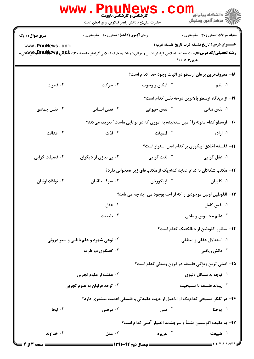| <b>زمان آزمون (دقیقه) : تستی : 60 ٪ تشریحی : 0</b><br>تعداد سوالات : تستي : 30 ٪ تشريحي : 0<br><b>سری سوال : ۱ یک</b><br><b>عنـــوان درس:</b> تاریخ فلسفه غرب،تاریخ فلسفه غرب ۱<br>www.PnuNews.com<br><b>رشته تحصیلی/کد درس: ا</b> لهیات ومعارف اسلامی گرایش ادیان وعرفان،الهیات ومعارف اسلامی گرایش فلسفه وکلامGIPLA و Fil<br>استه تحصیلی/کد درس: الهیات ومعارف اسلامی گرایش ادیان وعرفان،الهیات ومعارف اسلامی گرایش فلسفه وکلامGIPLA و الم<br>عربی40012<br>۱۸– معروف ترین برهان ارسطو در اثبات وجود خدا کدام است؟<br>۰۴ فطرت<br>۰۳ حرکت<br><b>10 امکان و وجوب</b><br>۰۱ نظم<br>۱۹- از دیدگاه ارسطو بالاترین درجه نفس کدام است؟<br>نفس جمادی $\cdot$ ۴<br>نفس انسانی $\cdot^{\mathsf{y}}$<br>۰ <sup>۲</sup> نفس حیوانی<br>۰۱ نفس نباتی<br>+۲- ارسطو کدام مقوله را " میل سنجیده به اموری که در توانایی ماست" تعریف میکند؟<br>ا لذت $\cdot$<br>۰۴ عدالت<br>۰۲ فضیلت میشود. در <mark>ناست با ت</mark><br>۰۱ اراده<br><b>۲۱</b> - فلسفه اخلاق اپیکوری بر کدام اصل استوار است؟<br>۰۴ فضیلت گرایی<br>بی نیازی از دیگران $\cdot^{\texttt{w}}$<br>۰ <sup>۲</sup> لذت گرایی<br>۰۱ عقل گرایی<br>۲۲– مکتب شکاکان با کدام عقاید کدامیک از مکتبهای زیر همخوانی دارد؟<br>۰۴ نوافلاطونیان<br>۰ <sup>۲</sup> اپیکوریان<br>۰۱ کلبیان<br>سوفسطائيان $\cdot^{\mathsf{y}}$<br>۲۳– افلوطین اولین موجودی را که از احد بوجود می آید چه می نامد؟<br>$5 - 3$ عقل<br>۰۱ نفس کامل<br>۰ <sup>۴</sup> طبیعت<br>ا عالم محسوس و مادی $\cdot$<br>۲۴− منظور افلوطین از دیالکتیک کدام است؟<br>۰۱ استدلال عقلی و منطقی<br><b>گ نوعی شهود و علم باطنی و سیر درونی</b><br>۰ <sup>۴</sup> گفتگوی دو طرفه<br>دانش رياضي $\cdot^{\mathsf{y}}$<br>۲۵- اصلی ترین ویژگی فلسفه در قرون وسطی کدام است؟<br><b>10 غفلت از علوم تجربی</b><br>۰۱ توجه به مسائل دنیوی<br>۰۴ توجه فراوان به علوم تجربی<br>ييوند فلسفه با مسيحيت $\cdot^{\mathsf{v}}$<br>۲۶- در تفکر مسیحی کدامیک از اناجیل از جهت عقیدتی و فلسفی اهمیت بیشتری دارد؟<br>۰۴ لوقا<br>مرقس $\cdot$ ۳<br><sup>۲.</sup> متى<br>۰۱ يوحنا<br>٢٧- به عقيده اگوستين منشأ و سرچشمه اختيار آدمي كدام است؟ | <b>WWW</b><br><b>کارشناسی و کارشناسی ناپیوسته</b><br>حضرت علی(ع): دانش راهبر نیکویی برای ایمان است | ڪ دانشڪاه پيا <sub>م</sub> نور<br><mark>∕</mark> 7 مرڪز آزمون وسنڊش |
|-------------------------------------------------------------------------------------------------------------------------------------------------------------------------------------------------------------------------------------------------------------------------------------------------------------------------------------------------------------------------------------------------------------------------------------------------------------------------------------------------------------------------------------------------------------------------------------------------------------------------------------------------------------------------------------------------------------------------------------------------------------------------------------------------------------------------------------------------------------------------------------------------------------------------------------------------------------------------------------------------------------------------------------------------------------------------------------------------------------------------------------------------------------------------------------------------------------------------------------------------------------------------------------------------------------------------------------------------------------------------------------------------------------------------------------------------------------------------------------------------------------------------------------------------------------------------------------------------------------------------------------------------------------------------------------------------------------------------------------------------------------------------------------------------------------------------------------------------------------------------------------------------------------------------------------------------------------------------------------------------------------|----------------------------------------------------------------------------------------------------|---------------------------------------------------------------------|
|                                                                                                                                                                                                                                                                                                                                                                                                                                                                                                                                                                                                                                                                                                                                                                                                                                                                                                                                                                                                                                                                                                                                                                                                                                                                                                                                                                                                                                                                                                                                                                                                                                                                                                                                                                                                                                                                                                                                                                                                             |                                                                                                    |                                                                     |
|                                                                                                                                                                                                                                                                                                                                                                                                                                                                                                                                                                                                                                                                                                                                                                                                                                                                                                                                                                                                                                                                                                                                                                                                                                                                                                                                                                                                                                                                                                                                                                                                                                                                                                                                                                                                                                                                                                                                                                                                             |                                                                                                    |                                                                     |
|                                                                                                                                                                                                                                                                                                                                                                                                                                                                                                                                                                                                                                                                                                                                                                                                                                                                                                                                                                                                                                                                                                                                                                                                                                                                                                                                                                                                                                                                                                                                                                                                                                                                                                                                                                                                                                                                                                                                                                                                             |                                                                                                    |                                                                     |
|                                                                                                                                                                                                                                                                                                                                                                                                                                                                                                                                                                                                                                                                                                                                                                                                                                                                                                                                                                                                                                                                                                                                                                                                                                                                                                                                                                                                                                                                                                                                                                                                                                                                                                                                                                                                                                                                                                                                                                                                             |                                                                                                    |                                                                     |
|                                                                                                                                                                                                                                                                                                                                                                                                                                                                                                                                                                                                                                                                                                                                                                                                                                                                                                                                                                                                                                                                                                                                                                                                                                                                                                                                                                                                                                                                                                                                                                                                                                                                                                                                                                                                                                                                                                                                                                                                             |                                                                                                    |                                                                     |
|                                                                                                                                                                                                                                                                                                                                                                                                                                                                                                                                                                                                                                                                                                                                                                                                                                                                                                                                                                                                                                                                                                                                                                                                                                                                                                                                                                                                                                                                                                                                                                                                                                                                                                                                                                                                                                                                                                                                                                                                             |                                                                                                    |                                                                     |
|                                                                                                                                                                                                                                                                                                                                                                                                                                                                                                                                                                                                                                                                                                                                                                                                                                                                                                                                                                                                                                                                                                                                                                                                                                                                                                                                                                                                                                                                                                                                                                                                                                                                                                                                                                                                                                                                                                                                                                                                             |                                                                                                    |                                                                     |
|                                                                                                                                                                                                                                                                                                                                                                                                                                                                                                                                                                                                                                                                                                                                                                                                                                                                                                                                                                                                                                                                                                                                                                                                                                                                                                                                                                                                                                                                                                                                                                                                                                                                                                                                                                                                                                                                                                                                                                                                             |                                                                                                    |                                                                     |
|                                                                                                                                                                                                                                                                                                                                                                                                                                                                                                                                                                                                                                                                                                                                                                                                                                                                                                                                                                                                                                                                                                                                                                                                                                                                                                                                                                                                                                                                                                                                                                                                                                                                                                                                                                                                                                                                                                                                                                                                             |                                                                                                    |                                                                     |
|                                                                                                                                                                                                                                                                                                                                                                                                                                                                                                                                                                                                                                                                                                                                                                                                                                                                                                                                                                                                                                                                                                                                                                                                                                                                                                                                                                                                                                                                                                                                                                                                                                                                                                                                                                                                                                                                                                                                                                                                             |                                                                                                    |                                                                     |
|                                                                                                                                                                                                                                                                                                                                                                                                                                                                                                                                                                                                                                                                                                                                                                                                                                                                                                                                                                                                                                                                                                                                                                                                                                                                                                                                                                                                                                                                                                                                                                                                                                                                                                                                                                                                                                                                                                                                                                                                             |                                                                                                    |                                                                     |
|                                                                                                                                                                                                                                                                                                                                                                                                                                                                                                                                                                                                                                                                                                                                                                                                                                                                                                                                                                                                                                                                                                                                                                                                                                                                                                                                                                                                                                                                                                                                                                                                                                                                                                                                                                                                                                                                                                                                                                                                             |                                                                                                    |                                                                     |
|                                                                                                                                                                                                                                                                                                                                                                                                                                                                                                                                                                                                                                                                                                                                                                                                                                                                                                                                                                                                                                                                                                                                                                                                                                                                                                                                                                                                                                                                                                                                                                                                                                                                                                                                                                                                                                                                                                                                                                                                             |                                                                                                    |                                                                     |
|                                                                                                                                                                                                                                                                                                                                                                                                                                                                                                                                                                                                                                                                                                                                                                                                                                                                                                                                                                                                                                                                                                                                                                                                                                                                                                                                                                                                                                                                                                                                                                                                                                                                                                                                                                                                                                                                                                                                                                                                             |                                                                                                    |                                                                     |
|                                                                                                                                                                                                                                                                                                                                                                                                                                                                                                                                                                                                                                                                                                                                                                                                                                                                                                                                                                                                                                                                                                                                                                                                                                                                                                                                                                                                                                                                                                                                                                                                                                                                                                                                                                                                                                                                                                                                                                                                             |                                                                                                    |                                                                     |
|                                                                                                                                                                                                                                                                                                                                                                                                                                                                                                                                                                                                                                                                                                                                                                                                                                                                                                                                                                                                                                                                                                                                                                                                                                                                                                                                                                                                                                                                                                                                                                                                                                                                                                                                                                                                                                                                                                                                                                                                             |                                                                                                    |                                                                     |
|                                                                                                                                                                                                                                                                                                                                                                                                                                                                                                                                                                                                                                                                                                                                                                                                                                                                                                                                                                                                                                                                                                                                                                                                                                                                                                                                                                                                                                                                                                                                                                                                                                                                                                                                                                                                                                                                                                                                                                                                             |                                                                                                    |                                                                     |
|                                                                                                                                                                                                                                                                                                                                                                                                                                                                                                                                                                                                                                                                                                                                                                                                                                                                                                                                                                                                                                                                                                                                                                                                                                                                                                                                                                                                                                                                                                                                                                                                                                                                                                                                                                                                                                                                                                                                                                                                             |                                                                                                    |                                                                     |
|                                                                                                                                                                                                                                                                                                                                                                                                                                                                                                                                                                                                                                                                                                                                                                                                                                                                                                                                                                                                                                                                                                                                                                                                                                                                                                                                                                                                                                                                                                                                                                                                                                                                                                                                                                                                                                                                                                                                                                                                             |                                                                                                    |                                                                     |
|                                                                                                                                                                                                                                                                                                                                                                                                                                                                                                                                                                                                                                                                                                                                                                                                                                                                                                                                                                                                                                                                                                                                                                                                                                                                                                                                                                                                                                                                                                                                                                                                                                                                                                                                                                                                                                                                                                                                                                                                             |                                                                                                    |                                                                     |
|                                                                                                                                                                                                                                                                                                                                                                                                                                                                                                                                                                                                                                                                                                                                                                                                                                                                                                                                                                                                                                                                                                                                                                                                                                                                                                                                                                                                                                                                                                                                                                                                                                                                                                                                                                                                                                                                                                                                                                                                             |                                                                                                    |                                                                     |
|                                                                                                                                                                                                                                                                                                                                                                                                                                                                                                                                                                                                                                                                                                                                                                                                                                                                                                                                                                                                                                                                                                                                                                                                                                                                                                                                                                                                                                                                                                                                                                                                                                                                                                                                                                                                                                                                                                                                                                                                             |                                                                                                    |                                                                     |
|                                                                                                                                                                                                                                                                                                                                                                                                                                                                                                                                                                                                                                                                                                                                                                                                                                                                                                                                                                                                                                                                                                                                                                                                                                                                                                                                                                                                                                                                                                                                                                                                                                                                                                                                                                                                                                                                                                                                                                                                             |                                                                                                    |                                                                     |
|                                                                                                                                                                                                                                                                                                                                                                                                                                                                                                                                                                                                                                                                                                                                                                                                                                                                                                                                                                                                                                                                                                                                                                                                                                                                                                                                                                                                                                                                                                                                                                                                                                                                                                                                                                                                                                                                                                                                                                                                             |                                                                                                    |                                                                     |
| ۰۳ عقل $\cdot$<br>۰۴ خداوند<br>۰۲ غريزه<br>۰۱ طبیعت<br>==== 1.1./1.1.11403<br><b>ـــ صفحه 2 از 4</b>                                                                                                                                                                                                                                                                                                                                                                                                                                                                                                                                                                                                                                                                                                                                                                                                                                                                                                                                                                                                                                                                                                                                                                                                                                                                                                                                                                                                                                                                                                                                                                                                                                                                                                                                                                                                                                                                                                        |                                                                                                    |                                                                     |